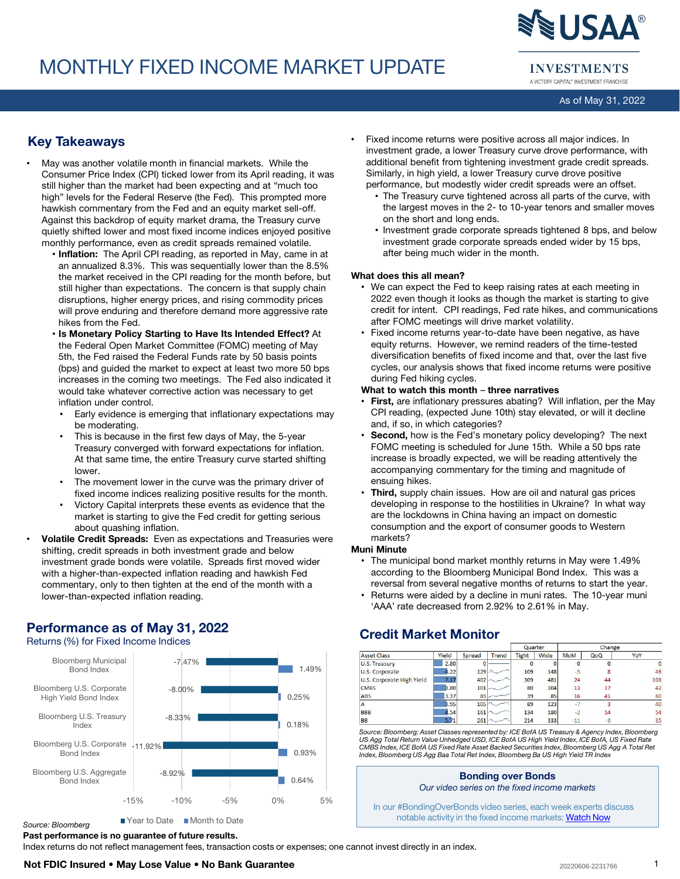# MONTHLY FIXED INCOME MARKET UPDATE



**INVESTMENTS** A VICTORY CAPITAL® INVESTMENT FRANCHISE

As of May 31, 2022

## Key Takeaways

- May was another volatile month in financial markets. While the Consumer Price Index (CPI) ticked lower from its April reading, it was still higher than the market had been expecting and at "much too high" levels for the Federal Reserve (the Fed). This prompted more hawkish commentary from the Fed and an equity market sell-off. Against this backdrop of equity market drama, the Treasury curve quietly shifted lower and most fixed income indices enjoyed positive monthly performance, even as credit spreads remained volatile.
	- Inflation: The April CPI reading, as reported in May, came in at an annualized 8.3%. This was sequentially lower than the 8.5% the market received in the CPI reading for the month before, but still higher than expectations. The concern is that supply chain disruptions, higher energy prices, and rising commodity prices will prove enduring and therefore demand more aggressive rate hikes from the Fed.
	- Is Monetary Policy Starting to Have Its Intended Effect? At the Federal Open Market Committee (FOMC) meeting of May 5th, the Fed raised the Federal Funds rate by 50 basis points (bps) and guided the market to expect at least two more 50 bps increases in the coming two meetings. The Fed also indicated it would take whatever corrective action was necessary to get inflation under control.
		- Early evidence is emerging that inflationary expectations may be moderating.
		- This is because in the first few days of May, the 5-year Treasury converged with forward expectations for inflation. At that same time, the entire Treasury curve started shifting lower.
		- The movement lower in the curve was the primary driver of fixed income indices realizing positive results for the month.
	- Victory Capital interprets these events as evidence that the market is starting to give the Fed credit for getting serious about quashing inflation.
- Volatile Credit Spreads: Even as expectations and Treasuries were shifting, credit spreads in both investment grade and below investment grade bonds were volatile. Spreads first moved wider with a higher-than-expected inflation reading and hawkish Fed commentary, only to then tighten at the end of the month with a lower-than-expected inflation reading.

## Performance as of May 31, 2022

Returns (%) for Fixed Income Indices



#### Year to Date Month to Date *Source: Bloomberg*

Past performance is no guarantee of future results.

Index returns do not reflect management fees, transaction costs or expenses; one cannot invest directly in an index.

• Fixed income returns were positive across all major indices. In investment grade, a lower Treasury curve drove performance, with additional benefit from tightening investment grade credit spreads. Similarly, in high yield, a lower Treasury curve drove positive performance, but modestly wider credit spreads were an offset.

- The Treasury curve tightened across all parts of the curve, with the largest moves in the 2- to 10-year tenors and smaller moves on the short and long ends.
- Investment grade corporate spreads tightened 8 bps, and below investment grade corporate spreads ended wider by 15 bps, after being much wider in the month.

#### What does this all mean?

- We can expect the Fed to keep raising rates at each meeting in 2022 even though it looks as though the market is starting to give credit for intent. CPI readings, Fed rate hikes, and communications after FOMC meetings will drive market volatility.
- Fixed income returns year-to-date have been negative, as have equity returns. However, we remind readers of the time-tested diversification benefits of fixed income and that, over the last five cycles, our analysis shows that fixed income returns were positive during Fed hiking cycles.

#### What to watch this month – three narratives

- First, are inflationary pressures abating? Will inflation, per the May CPI reading, (expected June 10th) stay elevated, or will it decline and, if so, in which categories?
- **Second,** how is the Fed's monetary policy developing? The next FOMC meeting is scheduled for June 15th. While a 50 bps rate increase is broadly expected, we will be reading attentively the accompanying commentary for the timing and magnitude of ensuing hikes.
- Third, supply chain issues. How are oil and natural gas prices developing in response to the hostilities in Ukraine? In what way are the lockdowns in China having an impact on domestic consumption and the export of consumer goods to Western markets?

#### Muni Minute

- The municipal bond market monthly returns in May were 1.49% according to the Bloomberg Municipal Bond Index. This was a reversal from several negative months of returns to start the year.
- Returns were aided by a decline in muni rates. The 10-year muni 'AAA' rate decreased from 2.92% to 2.61% in May.

## Credit Market Monitor

|                           |       |        |       | Quarter      |             | Change     |      |     |
|---------------------------|-------|--------|-------|--------------|-------------|------------|------|-----|
| <b>Asset Class</b>        | Yield | Spread | Trend | <b>Tight</b> | <b>Wide</b> | <b>MoM</b> | QoQ  | YoY |
| U.S. Treasury             | 2.80  |        |       |              |             | O          |      | O   |
| U.S. Corporate            | 4.22  | 129    |       | 109          | 148         | $-5$       | 8    | 46  |
| U.S. Corporate High Yield | 7.17  | 402    |       | 309          | 481         | 24         | 44   | 108 |
| <b>CMBS</b>               | 3.80  | 101    |       | 80           | 104         | 13         | 17   | 42  |
| <b>ABS</b>                | 3.37  | 85     |       | 39           | 85          | 16         | 41   | 60  |
| $\mathbf{A}$              | 3.95  | 105    |       | 89           | 123         | $-7$       | 3    | 40  |
| <b>BBB</b>                | 4.54  | 161    |       | 134          | 180         | $-2$       | 14   | 54  |
| <b>BB</b>                 | 5.71  | 261    |       | 214          | 333         | $-11$      | $-8$ | 35  |

*Source: Bloomberg; Asset Classes represented by: ICE BofA US Treasury & Agency Index, Bloomberg US Agg Total Return Value Unhedged USD, ICE BofA US High Yield Index, ICE BofA, US Fixed Rate CMBS Index, ICE BofA US Fixed Rate Asset Backed Securities Index, Bloomberg US Agg A Total Ret Index, Bloomberg US Agg Baa Total Ret Index, Bloomberg Ba US High Yield TR Index*

#### Bonding over Bonds *Our video series on the fixed income markets*

In our #BondingOverBonds video series, each week experts discuss notable activity in the fixed income markets: [Watch Now](https://www.youtube.com/c/VictoryCapital)

1